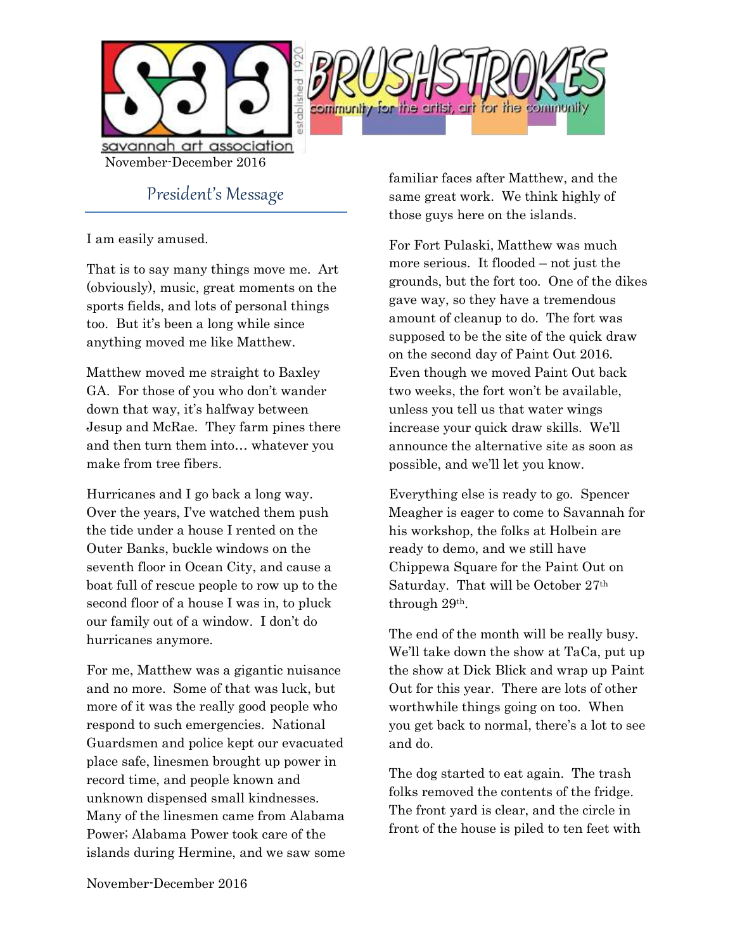

savannah art association November-December 2016

President's Message

I am easily amused.

That is to say many things move me. Art (obviously), music, great moments on the sports fields, and lots of personal things too. But it's been a long while since anything moved me like Matthew.

Matthew moved me straight to Baxley GA. For those of you who don't wander down that way, it's halfway between Jesup and McRae. They farm pines there and then turn them into… whatever you make from tree fibers.

Hurricanes and I go back a long way. Over the years, I've watched them push the tide under a house I rented on the Outer Banks, buckle windows on the seventh floor in Ocean City, and cause a boat full of rescue people to row up to the second floor of a house I was in, to pluck our family out of a window. I don't do hurricanes anymore.

For me, Matthew was a gigantic nuisance and no more. Some of that was luck, but more of it was the really good people who respond to such emergencies. National Guardsmen and police kept our evacuated place safe, linesmen brought up power in record time, and people known and unknown dispensed small kindnesses. Many of the linesmen came from Alabama Power; Alabama Power took care of the islands during Hermine, and we saw some familiar faces after Matthew, and the same great work. We think highly of those guys here on the islands.

For Fort Pulaski, Matthew was much more serious. It flooded – not just the grounds, but the fort too. One of the dikes gave way, so they have a tremendous amount of cleanup to do. The fort was supposed to be the site of the quick draw on the second day of Paint Out 2016. Even though we moved Paint Out back two weeks, the fort won't be available, unless you tell us that water wings increase your quick draw skills. We'll announce the alternative site as soon as possible, and we'll let you know.

Everything else is ready to go. Spencer Meagher is eager to come to Savannah for his workshop, the folks at Holbein are ready to demo, and we still have Chippewa Square for the Paint Out on Saturday. That will be October 27<sup>th</sup> through 29th.

The end of the month will be really busy. We'll take down the show at TaCa, put up the show at Dick Blick and wrap up Paint Out for this year. There are lots of other worthwhile things going on too. When you get back to normal, there's a lot to see and do.

The dog started to eat again. The trash folks removed the contents of the fridge. The front yard is clear, and the circle in front of the house is piled to ten feet with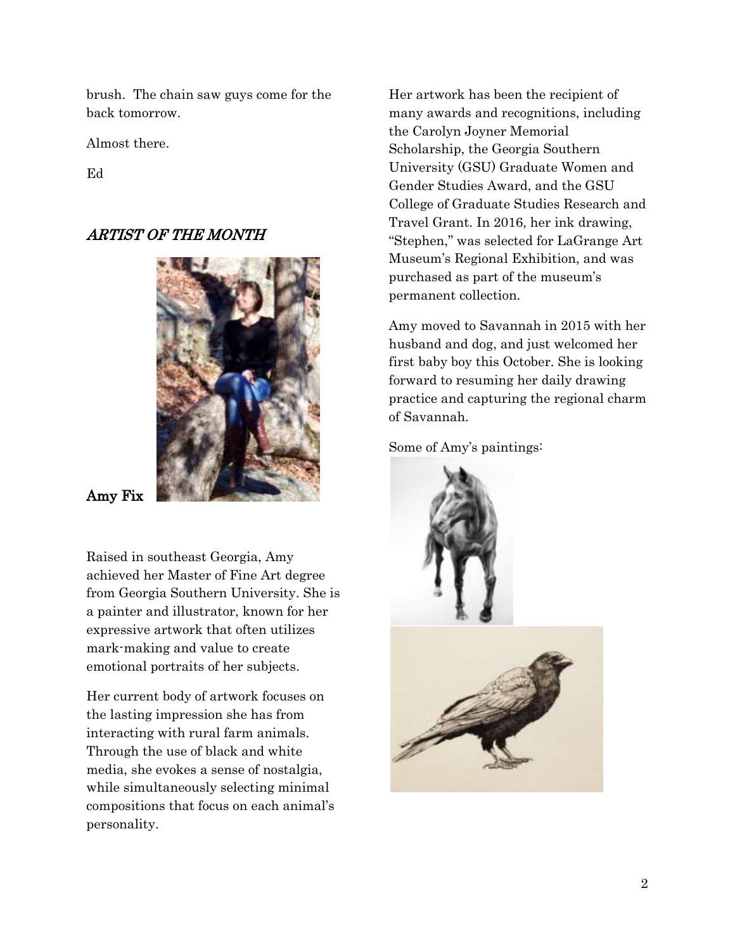brush. The chain saw guys come for the back tomorrow.

Almost there.

Ed

# ARTIST OF THE MONTH



Amy Fix

Raised in southeast Georgia, Amy achieved her Master of Fine Art degree from Georgia Southern University. She is a painter and illustrator, known for her expressive artwork that often utilizes mark-making and value to create emotional portraits of her subjects.

Her current body of artwork focuses on the lasting impression she has from interacting with rural farm animals. Through the use of black and white media, she evokes a sense of nostalgia, while simultaneously selecting minimal compositions that focus on each animal's personality.

Her artwork has been the recipient of many awards and recognitions, including the Carolyn Joyner Memorial Scholarship, the Georgia Southern University (GSU) Graduate Women and Gender Studies Award, and the GSU College of Graduate Studies Research and Travel Grant. In 2016, her ink drawing, "Stephen," was selected for LaGrange Art Museum's Regional Exhibition, and was purchased as part of the museum's permanent collection.

Amy moved to Savannah in 2015 with her husband and dog, and just welcomed her first baby boy this October. She is looking forward to resuming her daily drawing practice and capturing the regional charm of Savannah.

Some of Amy's paintings:

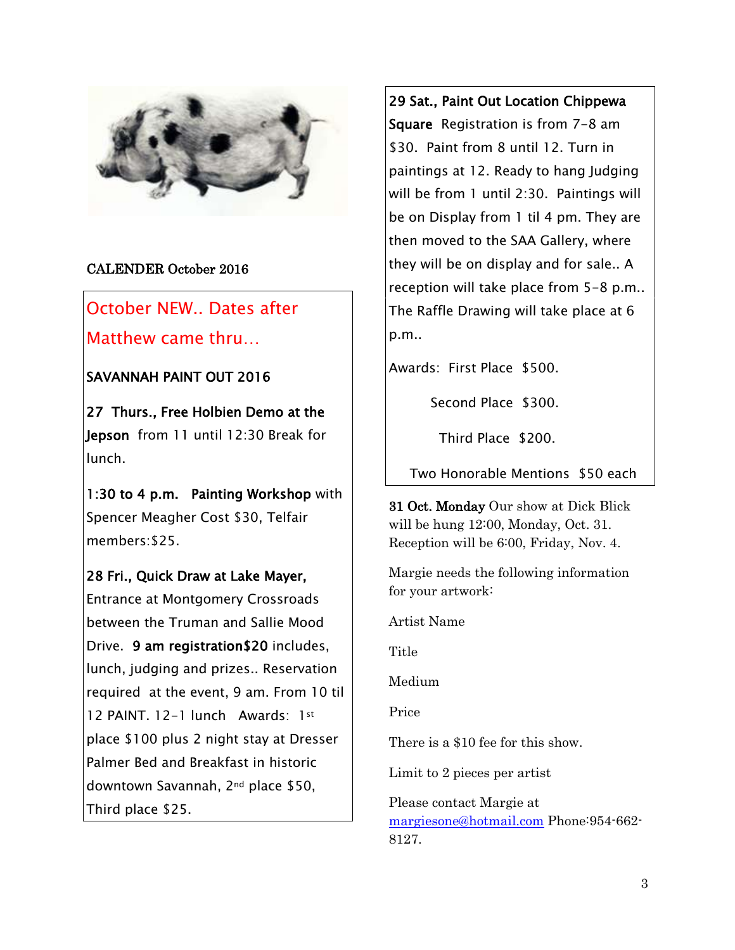

## CALENDER October 2016

October NEW.. Dates after Matthew came thru…

## SAVANNAH PAINT OUT 2016

27 Thurs., Free Holbien Demo at the Jepson from 11 until 12:30 Break for lunch.

1:30 to 4 p.m. Painting Workshop with Spencer Meagher Cost \$30, Telfair members:\$25.

### 28 Fri., Quick Draw at Lake Mayer,

Entrance at Montgomery Crossroads between the Truman and Sallie Mood Drive. 9 am registration\$20 includes, lunch, judging and prizes.. Reservation required at the event, 9 am. From 10 til 12 PAINT. 12-1 lunch Awards: 1st place \$100 plus 2 night stay at Dresser Palmer Bed and Breakfast in historic downtown Savannah, 2nd place \$50, Third place \$25.

29 Sat., Paint Out Location Chippewa Square Registration is from 7-8 am \$30. Paint from 8 until 12. Turn in paintings at 12. Ready to hang Judging will be from 1 until 2:30. Paintings will be on Display from 1 til 4 pm. They are then moved to the SAA Gallery, where they will be on display and for sale.. A reception will take place from 5-8 p.m.. The Raffle Drawing will take place at 6 p.m..

Awards: First Place \$500.

Second Place \$300.

Third Place \$200.

Two Honorable Mentions \$50 each

31 Oct. Monday Our show at Dick Blick will be hung 12:00, Monday, Oct. 31. Reception will be 6:00, Friday, Nov. 4.

Margie needs the following information for your artwork:

Artist Name

Title

Medium

Price

There is a \$10 fee for this show.

Limit to 2 pieces per artist

Please contact Margie at [margiesone@hotmail.com](mailto:margiesone@hotmail.com) Phone:954-662- 8127.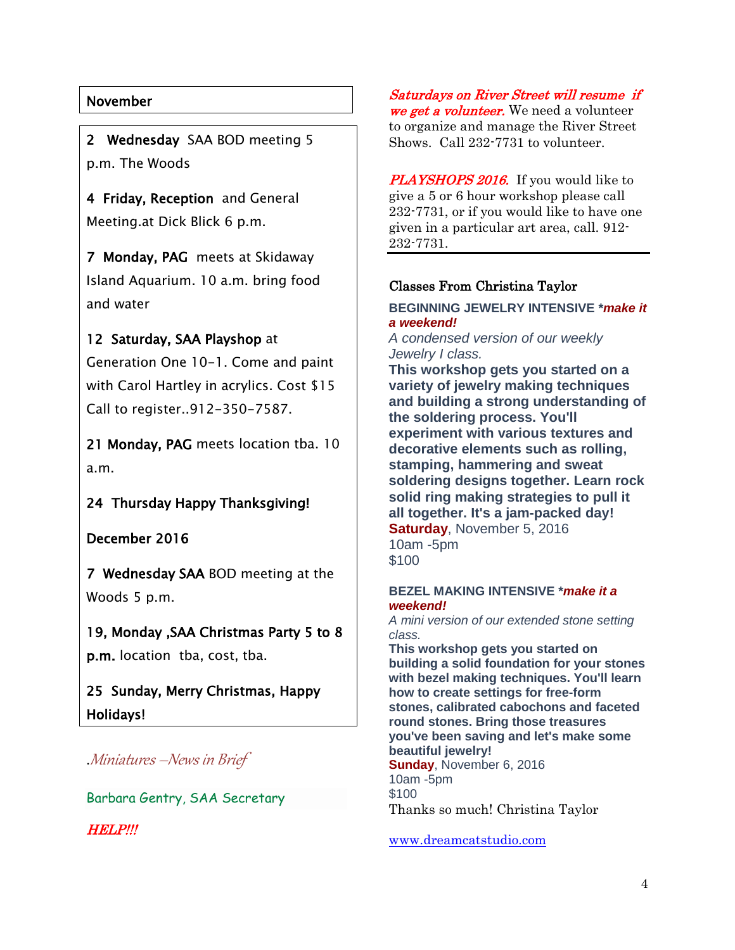## November

2 Wednesday SAA BOD meeting 5 p.m. The Woods

4 Friday, Reception and General Meeting.at Dick Blick 6 p.m.

7 Monday, PAG meets at Skidaway Island Aquarium. 10 a.m. bring food and water

# 12 Saturday, SAA Playshop at

Generation One 10-1. Come and paint with Carol Hartley in acrylics. Cost \$15 Call to register..912-350-7587.

21 Monday, PAG meets location tba. 10 a.m.

24 Thursday Happy Thanksgiving!

December 2016

7 Wednesday SAA BOD meeting at the Woods 5 p.m.

19, Monday ,SAA Christmas Party 5 to 8 p.m. location tba, cost, tba.

25 Sunday, Merry Christmas, Happy Holidays!

.Miniatures –News in Brief

Barbara Gentry, SAA Secretary

HELP!!!

Saturdays on River Street will resume if we get a volunteer. We need a volunteer to organize and manage the River Street Shows. Call 232-7731 to volunteer.

PLAYSHOPS 2016. If you would like to give a 5 or 6 hour workshop please call 232-7731, or if you would like to have one given in a particular art area, call. 912- 232-7731.

### Classes From Christina Taylor

### **BEGINNING JEWELRY INTENSIVE \****make it a weekend!*

*A condensed version of our weekly Jewelry I class.*

**This workshop gets you started on a variety of jewelry making techniques and building a strong understanding of the soldering process. You'll experiment with various textures and decorative elements such as rolling, stamping, hammering and sweat soldering designs together. Learn rock solid ring making strategies to pull it all together. It's a jam-packed day! Saturday**, November 5, 2016 10am -5pm \$100

#### **BEZEL MAKING INTENSIVE \****make it a weekend!*

*A mini version of our extended stone setting class.*

**This workshop gets you started on building a solid foundation for your stones with bezel making techniques. You'll learn how to create settings for free-form stones, calibrated cabochons and faceted round stones. Bring those treasures you've been saving and let's make some beautiful jewelry! Sunday**, November 6, 2016 10am -5pm \$100 Thanks so much! Christina Taylor

[www.dreamcatstudio.com](http://www.dreamcatstudio.com/)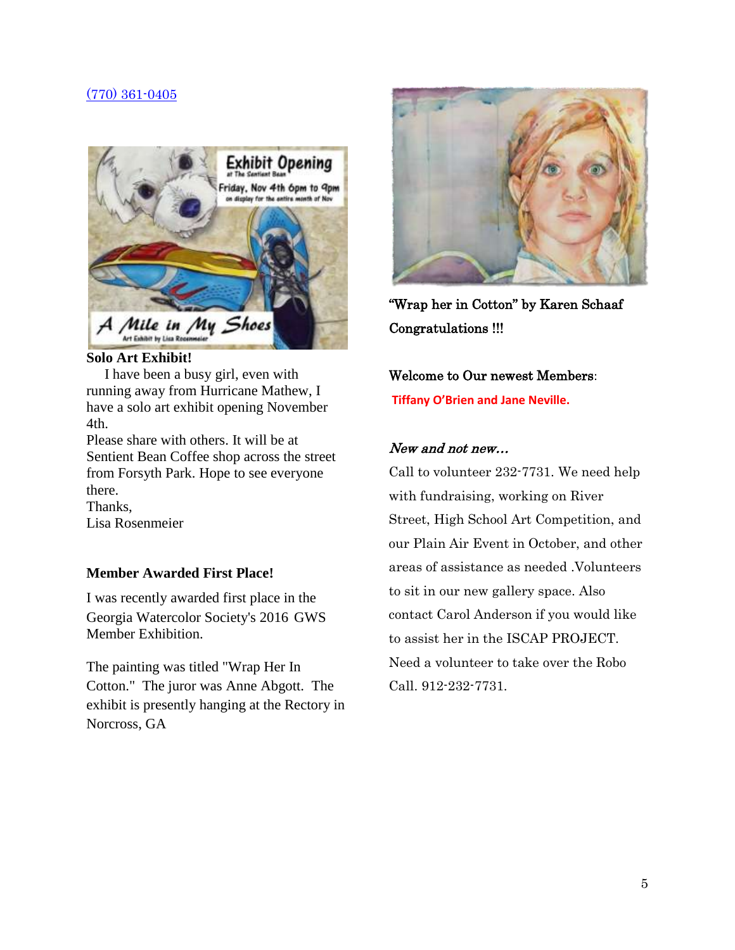### [\(770\) 361-0405](tel:%28770%29%20361-0405)



#### **Solo Art Exhibit!**

 I have been a busy girl, even with running away from Hurricane Mathew, I have a solo art exhibit opening November 4th.

Please share with others. It will be at Sentient Bean Coffee shop across the street from Forsyth Park. Hope to see everyone there.

Thanks, Lisa Rosenmeier

### **Member Awarded First Place!**

I was recently awarded first place in the Georgia Watercolor Society's 2016 GWS Member Exhibition.

The painting was titled "Wrap Her In Cotton." The juror was Anne Abgott. The exhibit is presently hanging at the Rectory in Norcross, GA



"Wrap her in Cotton" by Karen Schaaf Congratulations !!!

Welcome to Our newest Members: **Tiffany O'Brien and Jane Neville.**

### New and not new…

Call to volunteer 232-7731. We need help with fundraising, working on River Street, High School Art Competition, and our Plain Air Event in October, and other areas of assistance as needed .Volunteers to sit in our new gallery space. Also contact Carol Anderson if you would like to assist her in the ISCAP PROJECT. Need a volunteer to take over the Robo Call. 912-232-7731.